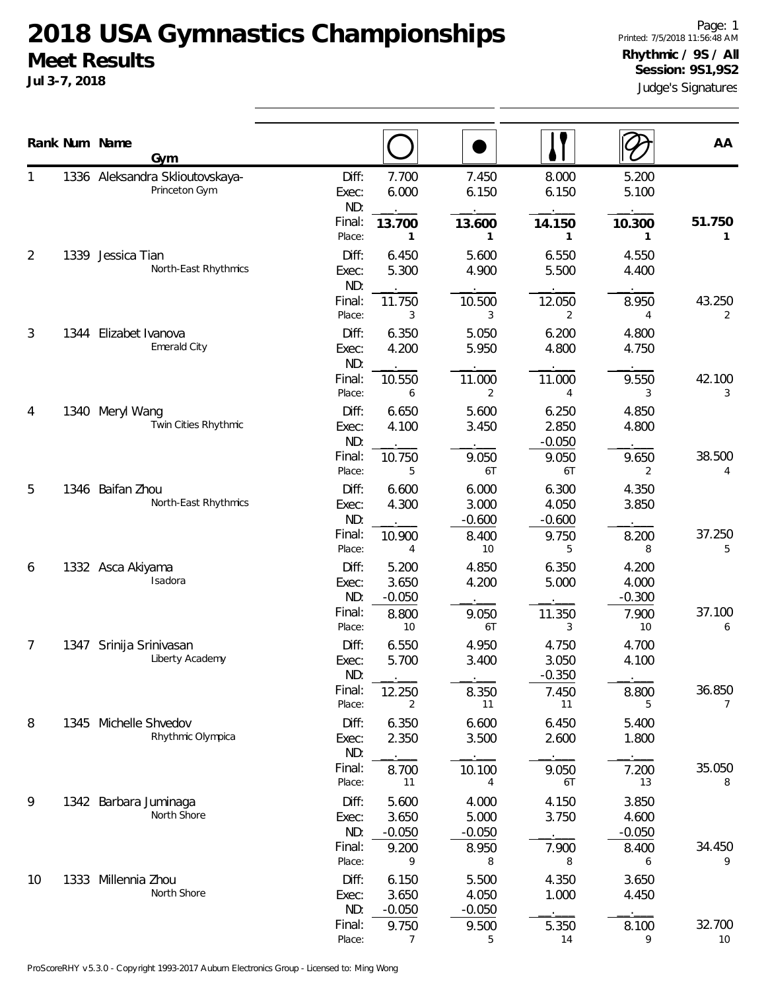**Jul 3-7, 2018**

Judge's Signatures Page: 1 Printed: 7/5/2018 11:56:48 AM **Rhythmic / 9S / All Session: 9S1,9S2**

|                |      | Rank Num Name<br>Gym                             |                                                     |                            |                            |                            | AA                       |
|----------------|------|--------------------------------------------------|-----------------------------------------------------|----------------------------|----------------------------|----------------------------|--------------------------|
|                |      | 1336 Aleksandra Sklioutovskaya-<br>Princeton Gym | Diff:<br>7.700<br>6.000<br>Exec:<br>ND:             | 7.450<br>6.150             | 8.000<br>6.150             | 5.200<br>5.100             |                          |
|                |      |                                                  | Final:<br>13.700<br>Place:<br>1                     | 13.600<br>1                | 14.150<br>1                | 10.300<br>1                | 51.750<br>1              |
| $\overline{2}$ | 1339 | Jessica Tian<br>North-East Rhythmics             | Diff:<br>6.450<br>5.300<br>Exec:<br>ND:             | 5.600<br>4.900             | 6.550<br>5.500             | 4.550<br>4.400             |                          |
|                |      |                                                  | Final:<br>11.750<br>Place:<br>3                     | 10.500<br>3                | 12.050<br>2                | 8.950<br>4                 | 43.250<br>2              |
| 3              | 1344 | Elizabet Ivanova<br>Emerald City                 | Diff:<br>6.350<br>4.200<br>Exec:<br>ND:             | 5.050<br>5.950             | 6.200<br>4.800             | 4.800<br>4.750             |                          |
|                |      |                                                  | Final:<br>10.550<br>Place:<br>6                     | 11.000<br>2                | 11.000<br>4                | 9.550<br>3                 | 42.100<br>3              |
| 4              |      | 1340 Meryl Wang<br>Twin Cities Rhythmic          | Diff:<br>6.650<br>4.100<br>Exec:<br>ND:             | 5.600<br>3.450             | 6.250<br>2.850<br>$-0.050$ | 4.850<br>4.800             |                          |
|                |      |                                                  | Final:<br>10.750<br>Place:<br>5                     | 9.050<br>6T                | 9.050<br>6T                | 9.650<br>2                 | 38.500<br>4              |
| 5              |      | 1346 Baifan Zhou<br>North-East Rhythmics         | Diff:<br>6.600<br>4.300<br>Exec:<br>ND:             | 6.000<br>3.000<br>$-0.600$ | 6.300<br>4.050<br>$-0.600$ | 4.350<br>3.850             |                          |
|                |      |                                                  | Final:<br>10.900<br>Place:<br>4                     | 8.400<br>10                | 9.750<br>5                 | 8.200<br>8                 | 37.250<br>5              |
| 6              |      | 1332 Asca Akiyama<br>Isadora                     | Diff:<br>5.200<br>3.650<br>Exec:<br>ND:<br>$-0.050$ | 4.850<br>4.200             | 6.350<br>5.000             | 4.200<br>4.000<br>$-0.300$ |                          |
|                |      |                                                  | Final:<br>8.800<br>Place:<br>10                     | 9.050<br>6T                | 11.350<br>3                | 7.900<br>10                | 37.100<br>6              |
| 7              | 1347 | Srinija Srinivasan<br>Liberty Academy            | Diff:<br>6.550<br>5.700<br>Exec:<br>ND:             | 4.950<br>3.400             | 4.750<br>3.050<br>$-0.350$ | 4.700<br>4.100             |                          |
|                |      |                                                  | Final:<br>12.250<br>Place:<br>2                     | 8.350<br>11                | 7.450<br>11                | 8.800<br>5                 | 36.850<br>$\overline{7}$ |
| 8              | 1345 | Michelle Shvedov<br>Rhythmic Olympica            | Diff:<br>6.350<br>2.350<br>Exec:<br>ND:             | 6.600<br>3.500             | 6.450<br>2.600             | 5.400<br>1.800             |                          |
|                |      |                                                  | Final:<br>8.700<br>Place:<br>11                     | 10.100<br>4                | 9.050<br>6T                | 7.200<br>13                | 35.050<br>8              |
| 9              |      | 1342 Barbara Juminaga<br>North Shore             | Diff:<br>5.600<br>3.650<br>Exec:<br>ND:<br>$-0.050$ | 4.000<br>5.000<br>$-0.050$ | 4.150<br>3.750             | 3.850<br>4.600<br>$-0.050$ |                          |
|                |      |                                                  | Final:<br>9.200<br>Place:<br>9                      | 8.950<br>8                 | 7.900<br>8                 | 8.400<br>6                 | 34.450<br>9              |
| 10             | 1333 | Millennia Zhou<br>North Shore                    | Diff:<br>6.150<br>3.650<br>Exec:<br>ND:<br>$-0.050$ | 5.500<br>4.050<br>$-0.050$ | 4.350<br>1.000             | 3.650<br>4.450             |                          |
|                |      |                                                  | Final:<br>9.750<br>Place:<br>7                      | 9.500<br>5                 | 5.350<br>14                | 8.100<br>9                 | 32.700<br>10             |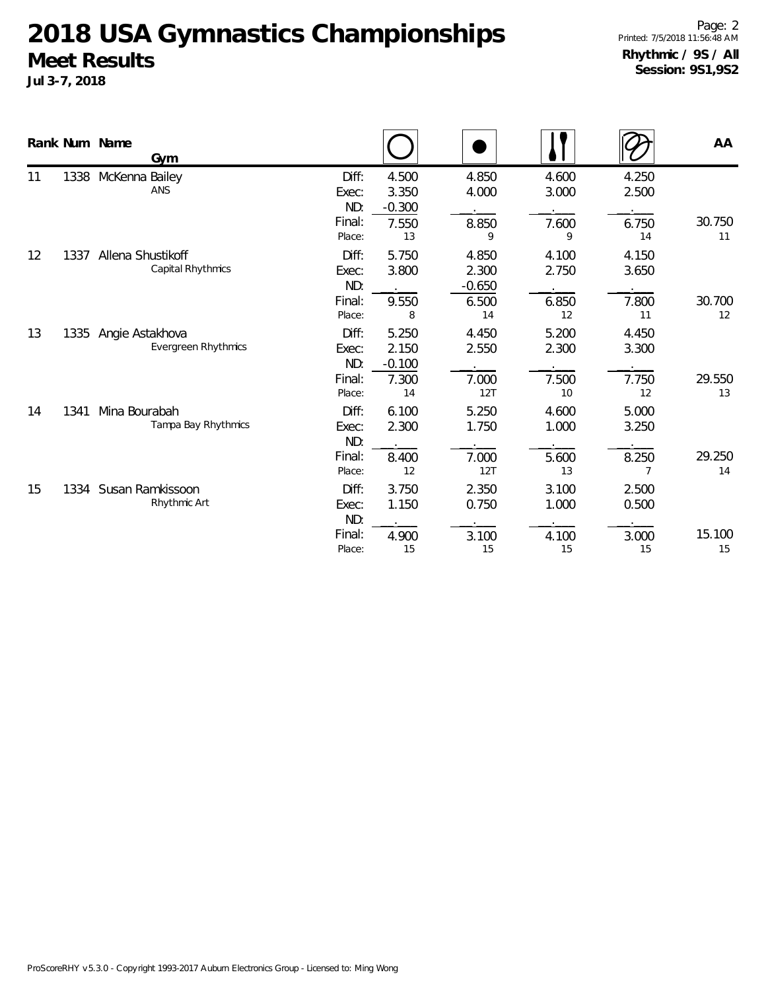|    |      | Rank Num Name<br>Gym                          |                                           |                                           |                                           |                               |                                           | AA           |
|----|------|-----------------------------------------------|-------------------------------------------|-------------------------------------------|-------------------------------------------|-------------------------------|-------------------------------------------|--------------|
| 11 | 1338 | McKenna Bailey<br>ANS                         | Diff:<br>Exec:<br>ND:<br>Final:<br>Place: | 4.500<br>3.350<br>$-0.300$<br>7.550<br>13 | 4.850<br>4.000<br>8.850<br>9              | 4.600<br>3.000<br>7.600<br>9  | 4.250<br>2.500<br>6.750<br>14             | 30.750<br>11 |
| 12 | 1337 | Allena Shustikoff<br>Capital Rhythmics        | Diff:<br>Exec:<br>ND:<br>Final:<br>Place: | 5.750<br>3.800<br>9.550<br>8              | 4.850<br>2.300<br>$-0.650$<br>6.500<br>14 | 4.100<br>2.750<br>6.850<br>12 | 4.150<br>3.650<br>7.800<br>11             | 30.700<br>12 |
| 13 | 1335 | Angie Astakhova<br><b>Evergreen Rhythmics</b> | Diff:<br>Exec:<br>ND:<br>Final:<br>Place: | 5.250<br>2.150<br>$-0.100$<br>7.300<br>14 | 4.450<br>2.550<br>7.000<br>12T            | 5.200<br>2.300<br>7.500<br>10 | 4.450<br>3.300<br>7.750<br>12             | 29.550<br>13 |
| 14 | 1341 | Mina Bourabah<br>Tampa Bay Rhythmics          | Diff:<br>Exec:<br>ND:<br>Final:<br>Place: | 6.100<br>2.300<br>8.400<br>12             | 5.250<br>1.750<br>7.000<br>12T            | 4.600<br>1.000<br>5.600<br>13 | 5.000<br>3.250<br>8.250<br>$\overline{7}$ | 29.250<br>14 |
| 15 |      | 1334 Susan Ramkissoon<br>Rhythmic Art         | Diff:<br>Exec:<br>ND:<br>Final:<br>Place: | 3.750<br>1.150<br>4.900<br>15             | 2.350<br>0.750<br>3.100<br>15             | 3.100<br>1.000<br>4.100<br>15 | 2.500<br>0.500<br>3.000<br>15             | 15.100<br>15 |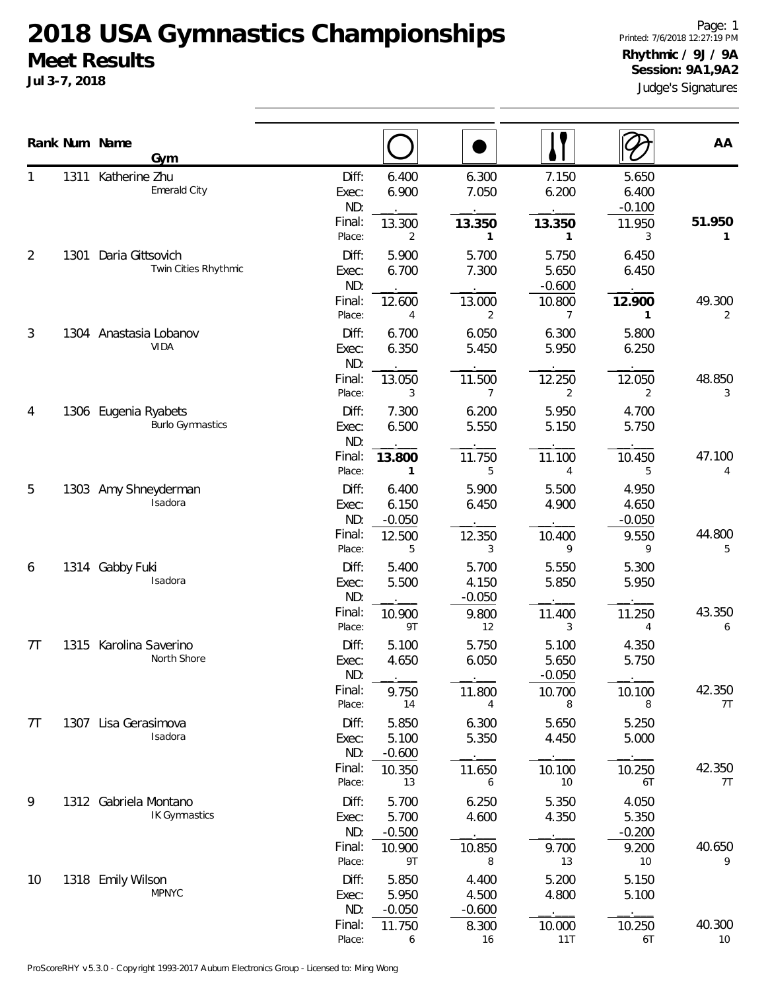|    |      | Rank Num Name<br>Gym                          |                                                     |                                                     |                                            |                                          |                                           | AA                       |
|----|------|-----------------------------------------------|-----------------------------------------------------|-----------------------------------------------------|--------------------------------------------|------------------------------------------|-------------------------------------------|--------------------------|
| 1  |      | 1311 Katherine Zhu<br>Emerald City            | Diff:<br>Exec:<br>ND:<br>Final:<br>Place:           | 6.400<br>6.900<br>13.300<br>2                       | 6.300<br>7.050<br>13.350<br>1              | 7.150<br>6.200<br>13.350<br>$\mathbf{1}$ | 5.650<br>6.400<br>$-0.100$<br>11.950<br>3 | 51.950<br>1              |
| 2  | 1301 | Daria Gittsovich<br>Twin Cities Rhythmic      | Diff:<br>Exec:<br>ND:<br>Final:                     | 5.900<br>6.700<br>12.600                            | 5.700<br>7.300<br>13.000                   | 5.750<br>5.650<br>$-0.600$<br>10.800     | 6.450<br>6.450<br>12.900                  | 49.300                   |
| 3  |      | 1304 Anastasia Lobanov<br><b>VIDA</b>         | Place:<br>Diff:<br>Exec:<br>ND:<br>Final:           | 4<br>6.700<br>6.350<br>13.050                       | 2<br>6.050<br>5.450<br>11.500              | 7<br>6.300<br>5.950<br>12.250            | 1<br>5.800<br>6.250<br>12.050             | $\overline{2}$<br>48.850 |
| 4  | 1306 | Eugenia Ryabets<br><b>Burlo Gymnastics</b>    | Place:<br>Diff:<br>Exec:<br>ND:<br>Final:           | 3<br>7.300<br>6.500<br>13.800                       | $\overline{7}$<br>6.200<br>5.550<br>11.750 | 2<br>5.950<br>5.150<br>11.100            | 2<br>4.700<br>5.750<br>10.450             | 3<br>47.100              |
| 5  |      | 1303 Amy Shneyderman<br>Isadora               | Place:<br>Diff:<br>Exec:<br>ND:<br>Final:           | 1<br>6.400<br>6.150<br>$-0.050$<br>12.500           | 5<br>5.900<br>6.450<br>12.350              | 4<br>5.500<br>4.900<br>10.400            | 5<br>4.950<br>4.650<br>$-0.050$<br>9.550  | 4<br>44.800              |
| 6  | 1314 | Gabby Fuki<br>Isadora                         | Place:<br>Diff:<br>Exec:<br>ND:<br>Final:           | 5<br>5.400<br>5.500<br>10.900                       | 3<br>5.700<br>4.150<br>$-0.050$<br>9.800   | 9<br>5.550<br>5.850<br>11.400            | 9<br>5.300<br>5.950<br>11.250             | 5<br>43.350              |
| 7T |      | 1315 Karolina Saverino<br>North Shore         | Place:<br>Diff:<br>Exec:<br>ND:                     | 9T<br>5.100<br>4.650                                | 12<br>5.750<br>6.050                       | 3<br>5.100<br>5.650<br>$-0.050$          | 4<br>4.350<br>5.750                       | 6                        |
| 7T |      | 1307 Lisa Gerasimova<br>Isadora               | Final:<br>Place:<br>Diff:<br>Exec:<br>ND:<br>Final: | 9.750<br>14<br>5.850<br>5.100<br>$-0.600$<br>10.350 | 11.800<br>4<br>6.300<br>5.350<br>11.650    | 10.700<br>8<br>5.650<br>4.450<br>10.100  | 10.100<br>8<br>5.250<br>5.000<br>10.250   | 42.350<br>7T<br>42.350   |
| 9  |      | 1312 Gabriela Montano<br><b>IK Gymnastics</b> | Place:<br>Diff:<br>Exec:<br>ND:<br>Final:           | 13<br>5.700<br>5.700<br>$-0.500$<br>10.900          | 6<br>6.250<br>4.600<br>10.850              | 10<br>5.350<br>4.350<br>9.700            | 6T<br>4.050<br>5.350<br>$-0.200$<br>9.200 | 7T<br>40.650             |
| 10 |      | 1318 Emily Wilson<br><b>MPNYC</b>             | Place:<br>Diff:<br>Exec:<br>ND:                     | 9T<br>5.850<br>5.950<br>$-0.050$                    | 8<br>4.400<br>4.500<br>$-0.600$            | 13<br>5.200<br>4.800                     | 10<br>5.150<br>5.100                      | 9                        |
|    |      |                                               | Final:<br>Place:                                    | 11.750<br>6                                         | 8.300<br>16                                | 10.000<br>11T                            | 10.250<br>6T                              | 40.300<br>10             |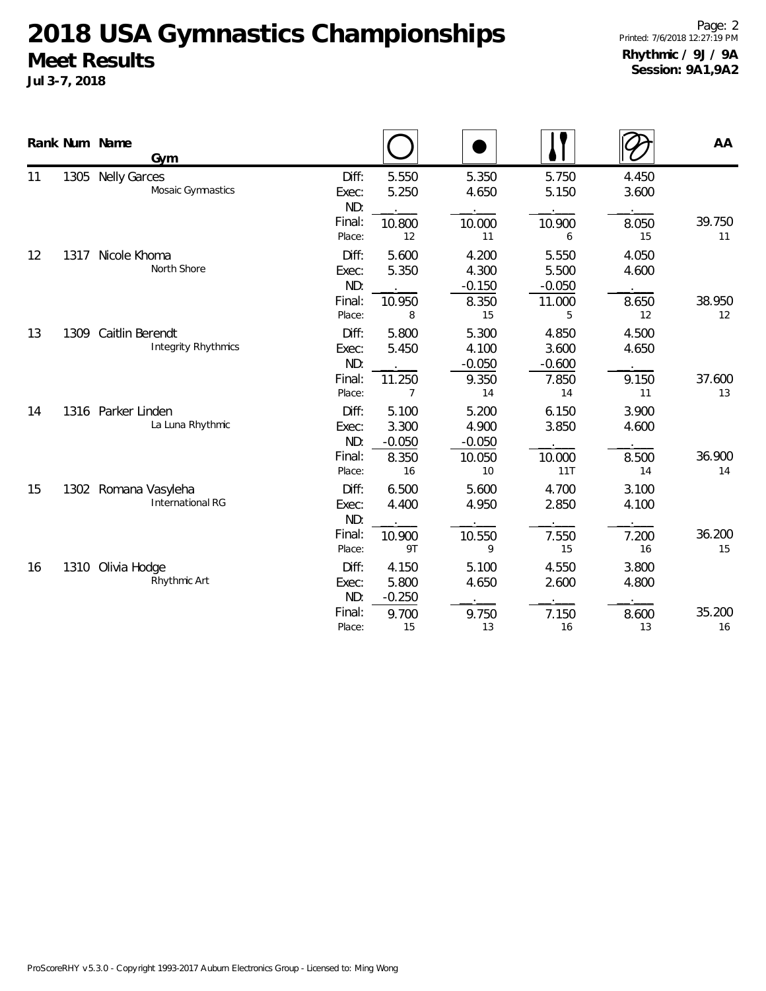|    |      | Rank Num Name<br>Gym                            |                                           |                                           |                                            |                                           |                               | AA           |
|----|------|-------------------------------------------------|-------------------------------------------|-------------------------------------------|--------------------------------------------|-------------------------------------------|-------------------------------|--------------|
| 11 | 1305 | <b>Nelly Garces</b><br>Mosaic Gymnastics        | Diff:<br>Exec:<br>ND:<br>Final:<br>Place: | 5.550<br>5.250<br>10.800<br>12            | 5.350<br>4.650<br>10.000<br>11             | 5.750<br>5.150<br>10.900<br>6             | 4.450<br>3.600<br>8.050<br>15 | 39.750<br>11 |
| 12 | 1317 | Nicole Khoma<br>North Shore                     | Diff:<br>Exec:<br>ND:<br>Final:<br>Place: | 5.600<br>5.350<br>10.950<br>8             | 4.200<br>4.300<br>$-0.150$<br>8.350<br>15  | 5.550<br>5.500<br>$-0.050$<br>11.000<br>5 | 4.050<br>4.600<br>8.650<br>12 | 38.950<br>12 |
| 13 | 1309 | Caitlin Berendt<br><b>Integrity Rhythmics</b>   | Diff:<br>Exec:<br>ND:<br>Final:<br>Place: | 5.800<br>5.450<br>11.250<br>7             | 5.300<br>4.100<br>$-0.050$<br>9.350<br>14  | 4.850<br>3.600<br>$-0.600$<br>7.850<br>14 | 4.500<br>4.650<br>9.150<br>11 | 37.600<br>13 |
| 14 | 1316 | Parker Linden<br>La Luna Rhythmic               | Diff:<br>Exec:<br>ND:<br>Final:<br>Place: | 5.100<br>3.300<br>$-0.050$<br>8.350<br>16 | 5.200<br>4.900<br>$-0.050$<br>10.050<br>10 | 6.150<br>3.850<br>10.000<br>11T           | 3.900<br>4.600<br>8.500<br>14 | 36.900<br>14 |
| 15 |      | 1302 Romana Vasyleha<br><b>International RG</b> | Diff:<br>Exec:<br>ND:<br>Final:<br>Place: | 6.500<br>4.400<br>10.900<br>9T            | 5.600<br>4.950<br>10.550<br>9              | 4.700<br>2.850<br>7.550<br>15             | 3.100<br>4.100<br>7.200<br>16 | 36.200<br>15 |
| 16 | 1310 | Olivia Hodge<br>Rhythmic Art                    | Diff:<br>Exec:<br>ND:<br>Final:<br>Place: | 4.150<br>5.800<br>$-0.250$<br>9.700<br>15 | 5.100<br>4.650<br>9.750<br>13              | 4.550<br>2.600<br>7.150<br>16             | 3.800<br>4.800<br>8.600<br>13 | 35.200<br>16 |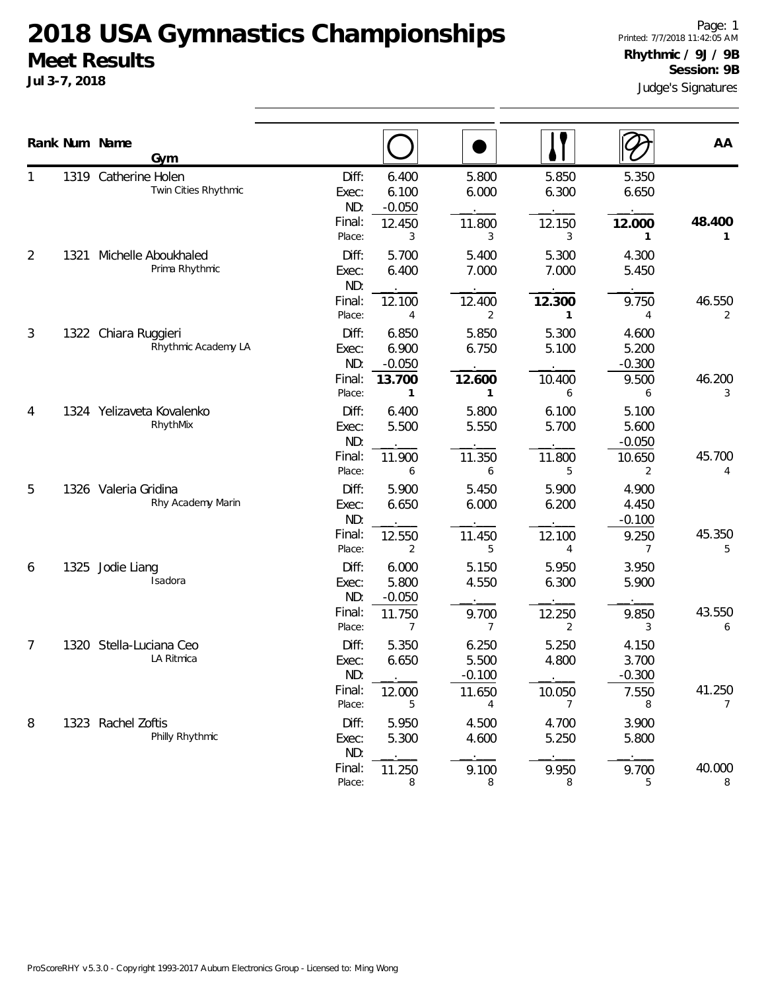**Jul 3-7, 2018**

Page: 1 Printed: 7/7/2018 11:42:05 AM **Rhythmic / 9J / 9B Session: 9B**

|       |                               | Judge's Signatures |
|-------|-------------------------------|--------------------|
|       | Rhythmic / 9J / 9B            | Session: 9B        |
| гіцрэ | Printed: 7/7/2018 11:42:05 AM |                    |

|                |      | Rank Num Name<br>Gym                         |                                 |                            |                                      |                                  |                                     | AA          |
|----------------|------|----------------------------------------------|---------------------------------|----------------------------|--------------------------------------|----------------------------------|-------------------------------------|-------------|
|                |      | 1319 Catherine Holen<br>Twin Cities Rhythmic | Diff:<br>Exec:<br>ND:           | 6.400<br>6.100<br>$-0.050$ | 5.800<br>6.000                       | 5.850<br>6.300                   | 5.350<br>6.650                      |             |
|                |      |                                              | Final:<br>Place:                | 12.450<br>3                | 11.800<br>3                          | 12.150<br>3                      | 12.000<br>1                         | 48.400<br>1 |
| $\overline{2}$ | 1321 | Michelle Aboukhaled<br>Prima Rhythmic        | Diff:<br>Exec:<br>ND:           | 5.700<br>6.400             | 5.400<br>7.000                       | 5.300<br>7.000                   | 4.300<br>5.450                      |             |
|                |      |                                              | Final:<br>Place:                | 12.100<br>4                | 12.400<br>2                          | 12.300<br>1                      | 9.750<br>4                          | 46.550<br>2 |
| 3              |      | 1322 Chiara Ruggieri<br>Rhythmic Academy LA  | Diff:<br>Exec:<br>ND:           | 6.850<br>6.900<br>$-0.050$ | 5.850<br>6.750                       | 5.300<br>5.100                   | 4.600<br>5.200<br>$-0.300$          |             |
|                |      |                                              | Final:<br>Place:                | 13.700<br>1                | 12.600<br>1                          | 10.400<br>6                      | 9.500<br>6                          | 46.200<br>3 |
| 4              |      | 1324 Yelizaveta Kovalenko<br>RhythMix        | Diff:<br>Exec:<br>ND:           | 6.400<br>5.500             | 5.800<br>5.550                       | 6.100<br>5.700                   | 5.100<br>5.600<br>$-0.050$          |             |
|                |      |                                              | Final:<br>Place:                | 11.900<br>6                | 11.350<br>6                          | 11.800<br>5                      | 10.650<br>2                         | 45.700<br>4 |
| 5              |      | 1326 Valeria Gridina<br>Rhy Academy Marin    | Diff:<br>Exec:<br>ND:           | 5.900<br>6.650             | 5.450<br>6.000                       | 5.900<br>6.200                   | 4.900<br>4.450<br>$-0.100$          |             |
|                |      |                                              | Final:<br>Place:                | 12.550<br>2                | 11.450<br>5                          | 12.100<br>4                      | 9.250<br>7                          | 45.350<br>5 |
| 6              | 1325 | Jodie Liang<br>Isadora                       | Diff:<br>Exec:<br>ND:           | 6.000<br>5.800<br>$-0.050$ | 5.150<br>4.550                       | 5.950<br>6.300                   | 3.950<br>5.900                      |             |
|                |      |                                              | Final:<br>Place:                | 11.750<br>7                | 9.700<br>$\overline{7}$              | 12.250<br>2                      | 9.850<br>3                          | 43.550<br>6 |
| 7              | 1320 | Stella-Luciana Ceo<br>LA Ritmica             | Diff:<br>Exec:<br>ND:<br>Final: | 5.350<br>6.650<br>12.000   | 6.250<br>5.500<br>$-0.100$<br>11.650 | 5.250<br>4.800<br>10.050         | 4.150<br>3.700<br>$-0.300$<br>7.550 | 41.250      |
| 8              |      | 1323 Rachel Zoftis<br>Philly Rhythmic        | Place:<br>Diff:<br>Exec:<br>ND: | 5<br>5.950<br>5.300        | 4<br>4.500<br>4.600                  | $\overline{7}$<br>4.700<br>5.250 | 8<br>3.900<br>5.800                 | 7           |
|                |      |                                              | Final:<br>Place:                | 11.250<br>8                | 9.100<br>8                           | 9.950<br>8                       | 9.700<br>5                          | 40.000<br>8 |